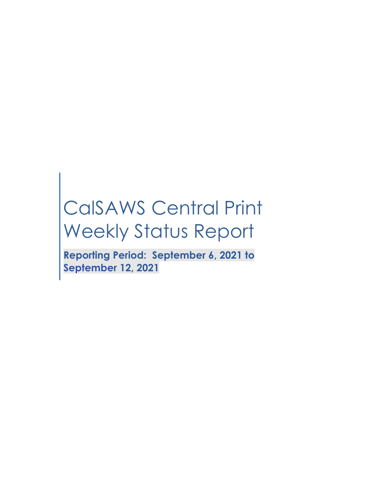# CalSAWS Central Print Weekly Status Report

**Reporting Period: September 6, 2021 to September 12, 2021**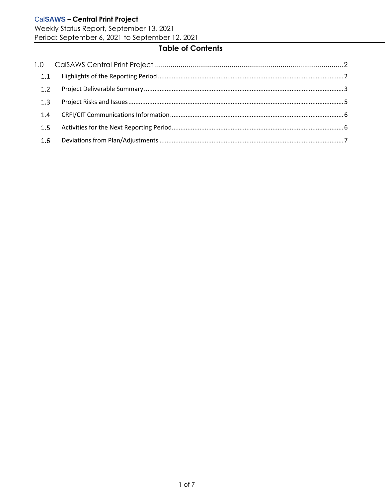Weekly Status Report, September 13, 2021 Period: September 6, 2021 to September 12, 2021

# **Table of Contents**

| 1.1 |  |
|-----|--|
| 1.2 |  |
| 1.3 |  |
| 1.4 |  |
| 1.5 |  |
| 1.6 |  |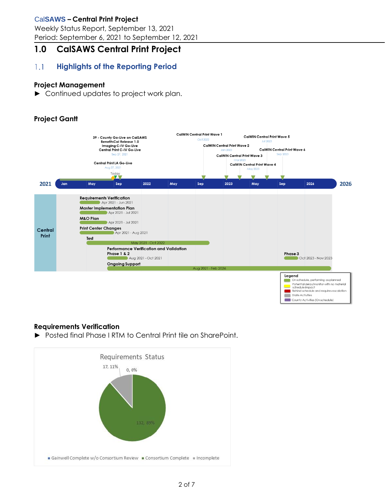Weekly Status Report, September 13, 2021 Period: September 6, 2021 to September 12, 2021

# <span id="page-2-0"></span>**1.0 CalSAWS Central Print Project**

#### <span id="page-2-1"></span> $1.1$ **Highlights of the Reporting Period**

## **Project Management**

► Continued updates to project work plan.

# **Project Gantt**



## **Requirements Verification**

► Posted final Phase I RTM to Central Print tile on SharePoint.

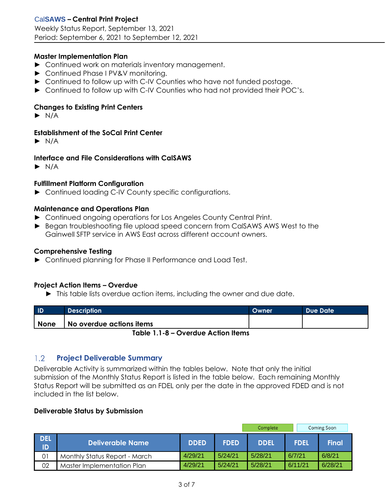#### **Master Implementation Plan**

- ► Continued work on materials inventory management.
- ► Continued Phase I PV&V monitoring.
- ► Continued to follow up with C-IV Counties who have not funded postage.
- ► Continued to follow up with C-IV Counties who had not provided their POC's.

#### **Changes to Existing Print Centers**

 $\blacktriangleright$  N/A

#### **Establishment of the SoCal Print Center**

 $\blacktriangleright$  N/A

#### **Interface and File Considerations with CalSAWS**

 $\blacktriangleright$  N/A

#### **Fulfillment Platform Configuration**

► Continued loading C-IV County specific configurations.

#### **Maintenance and Operations Plan**

- ► Continued ongoing operations for Los Angeles County Central Print.
- ► Began troubleshooting file upload speed concern from CalSAWS AWS West to the Gainwell SFTP service in AWS East across different account owners.

#### **Comprehensive Testing**

► Continued planning for Phase II Performance and Load Test.

#### **Project Action Items – Overdue**

► This table lists overdue action items, including the owner and due date.

| <b>ID</b>              | Description              | Owner | L Due Date l |  |  |
|------------------------|--------------------------|-------|--------------|--|--|
| <b>None</b>            | No overdue actions items |       |              |  |  |
| $Table 11.8 - Qvardus$ |                          |       |              |  |  |

**Table 1.1-8 – Overdue Action Items**

#### <span id="page-3-0"></span> $1.2$ **Project Deliverable Summary**

Deliverable Activity is summarized within the tables below. Note that only the initial submission of the Monthly Status Report is listed in the table below. Each remaining Monthly Status Report will be submitted as an FDEL only per the date in the approved FDED and is not included in the list below.

#### **Deliverable Status by Submission**

|                  |                               |             |             | Complete    |             | Coming Soon  |
|------------------|-------------------------------|-------------|-------------|-------------|-------------|--------------|
| <b>DEL</b><br>ID | Deliverable Name              | <b>DDED</b> | <b>FDED</b> | <b>DDEL</b> | <b>FDEL</b> | <b>Final</b> |
| 01               | Monthly Status Report - March | 4/29/21     | 5/24/21     | 5/28/21     | 6/7/21      | 6/8/21       |
| 02               | Master Implementation Plan    | 4/29/21     | 5/24/21     | 5/28/21     | 6/11/21     | 6/28/21      |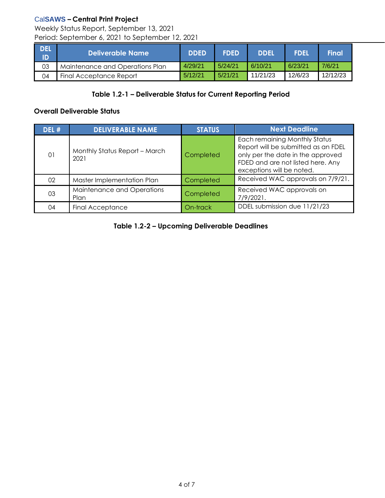Weekly Status Report, September 13, 2021 Period: September 6, 2021 to September 12, 2021

| I DEL<br>- ID | Deliverable Name                | <b>DDED</b> | <b>FDED</b> | <b>DDEL</b> | <b>FDEL</b> | Final    |
|---------------|---------------------------------|-------------|-------------|-------------|-------------|----------|
| 03            | Maintenance and Operations Plan | 4/29/21     | 5/24/21     | 6/10/21     | 6/23/21     | 7/6/21   |
| 04            | Final Acceptance Report         | 5/12/21     | 5/21/21     | 11/21/23    | 12/6/23     | 12/12/23 |

# **Table 1.2-1 – Deliverable Status for Current Reporting Period**

## **Overall Deliverable Status**

| DEL # | <b>DELIVERABLE NAME</b>               | <b>STATUS</b>                                                                                                                                                                            | <b>Next Deadline</b>                   |  |  |
|-------|---------------------------------------|------------------------------------------------------------------------------------------------------------------------------------------------------------------------------------------|----------------------------------------|--|--|
| 01    | Monthly Status Report - March<br>2021 | Each remaining Monthly Status<br>Report will be submitted as an FDEL<br>only per the date in the approved<br>Completed<br>FDED and are not listed here. Any<br>exceptions will be noted. |                                        |  |  |
| 02    | Master Implementation Plan            | Completed                                                                                                                                                                                | Received WAC approvals on 7/9/21.      |  |  |
| 03    | Maintenance and Operations<br>Plan    | Completed                                                                                                                                                                                | Received WAC approvals on<br>7/9/2021. |  |  |
| 04    | <b>Final Acceptance</b>               | On-track                                                                                                                                                                                 | DDEL submission due 11/21/23           |  |  |

**Table 1.2-2 – Upcoming Deliverable Deadlines**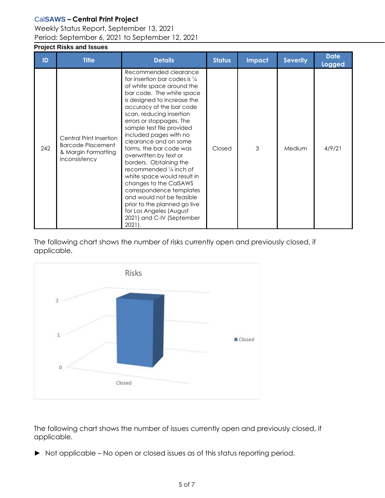## Weekly Status Report, September 13, 2021 Period: September 6, 2021 to September 12, 2021

# <span id="page-5-0"></span>**Project Risks and Issues**

| ID  | <b>Title</b>                                                                                | <b>Details</b>                                                                                                                                                                                                                                                                                                                                                                                                                                                                                                                                                                                                                                                 | <b>Status</b> | <b>Impact</b> | <b>Severity</b> | <b>Date</b><br><b>Logged</b> |
|-----|---------------------------------------------------------------------------------------------|----------------------------------------------------------------------------------------------------------------------------------------------------------------------------------------------------------------------------------------------------------------------------------------------------------------------------------------------------------------------------------------------------------------------------------------------------------------------------------------------------------------------------------------------------------------------------------------------------------------------------------------------------------------|---------------|---------------|-----------------|------------------------------|
| 242 | Central Print Insertion<br><b>Barcode Placement</b><br>& Margin Formatting<br>Inconsistency | Recommended clearance<br>for insertion bar codes is $\frac{1}{4}$<br>of white space around the<br>bar code. The white space<br>is designed to increase the<br>accuracy of the bar code<br>scan, reducing insertion<br>errors or stoppages. The<br>sample test file provided<br>included pages with no<br>clearance and on some<br>forms, the bar code was<br>overwritten by text or<br>borders. Obtaining the<br>recommended 1/4 inch of<br>white space would result in<br>changes to the CalSAWS<br>correspondence templates<br>and would not be feasible<br>prior to the planned go live<br>for Los Angeles (August<br>2021) and C-IV (September<br>$2021$ . | Closed        | 3             | Medium          | 4/9/21                       |

The following chart shows the number of risks currently open and previously closed, if applicable.



The following chart shows the number of issues currently open and previously closed, if applicable.

► Not applicable – No open or closed issues as of this status reporting period.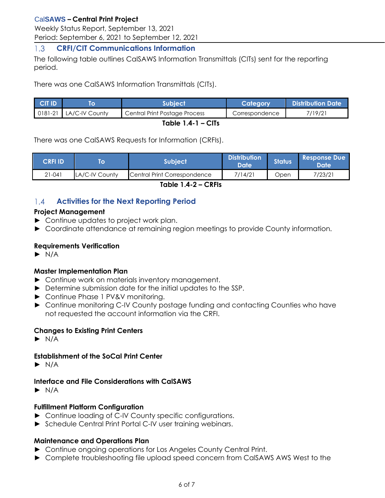Weekly Status Report, September 13, 2021 Period: September 6, 2021 to September 12, 2021

#### <span id="page-6-0"></span> $1.3$ **CRFI/CIT Communications Information**

The following table outlines CalSAWS Information Transmittals (CITs) sent for the reporting period.

There was one CalSAWS Information Transmittals (CITs).

| <b>CIT ID</b>       |                                  | <b>Subject</b>                | Category       | <b>Distribution Date</b> |  |  |  |
|---------------------|----------------------------------|-------------------------------|----------------|--------------------------|--|--|--|
|                     | $\vert$ 0181-21   LA/C-IV County | Central Print Postage Process | Correspondence | 7/19/21                  |  |  |  |
| Table $1.4 - 1 - C$ |                                  |                               |                |                          |  |  |  |

There was one CalSAWS Requests for Information (CRFIs).

| <b>CRFI IDV</b> | ΙO             | 'Subiect                     | <b>Distribution</b><br>Date | <b>Status</b> | <b>Response Due</b><br><b>Date</b> |
|-----------------|----------------|------------------------------|-----------------------------|---------------|------------------------------------|
| $21 - 041$      | LA/C-IV County | Central Print Correspondence | 7/14/21                     | Jpen          | 7/23/21                            |

**Table 1.4-2 – CRFIs**

#### <span id="page-6-1"></span> $1.4$ **Activities for the Next Reporting Period**

## **Project Management**

- ► Continue updates to project work plan.
- ► Coordinate attendance at remaining region meetings to provide County information.

## **Requirements Verification**

 $\blacktriangleright$  N/A

## **Master Implementation Plan**

- ► Continue work on materials inventory management.
- ► Determine submission date for the initial updates to the SSP.
- ► Continue Phase 1 PV&V monitoring.
- ► Continue monitoring C-IV County postage funding and contacting Counties who have not requested the account information via the CRFI.

# **Changes to Existing Print Centers**

 $\blacktriangleright$  N/A

# **Establishment of the SoCal Print Center**

 $\blacktriangleright$  N/A

## **Interface and File Considerations with CalSAWS**

 $\blacktriangleright$  N/A

## **Fulfillment Platform Configuration**

- ► Continue loading of C-IV County specific configurations.
- ► Schedule Central Print Portal C-IV user training webinars.

## **Maintenance and Operations Plan**

- ► Continue ongoing operations for Los Angeles County Central Print.
- ► Complete troubleshooting file upload speed concern from CalSAWS AWS West to the